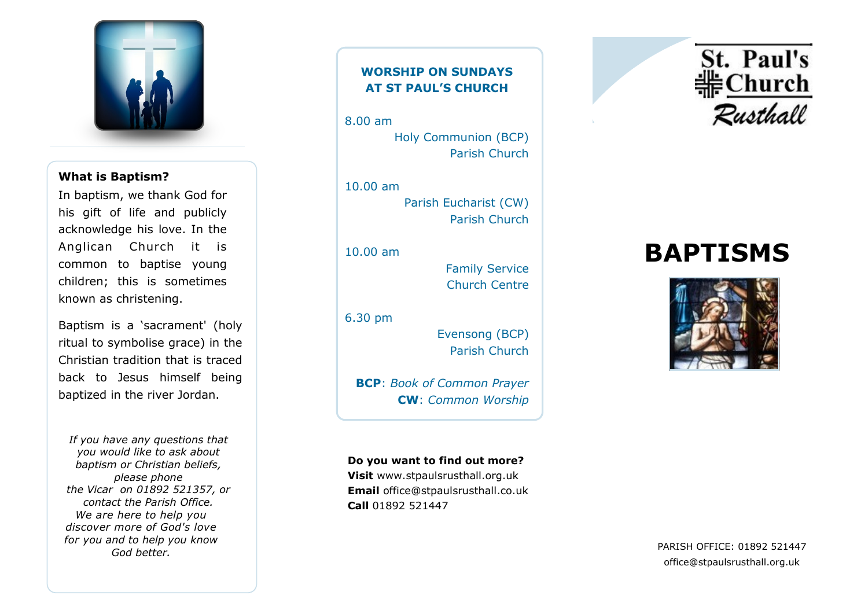

# **What is Baptism?**

In baptism, we thank God for his gift of life and publicly acknowledge his love. In the Anglican Church it is common to baptise young children; this is sometimes known as christening.

Baptism is a 'sacrament' (holy ritual to symbolise grace) in the Christian tradition that is traced back to Jesus himself being [baptized](http://www.biblegateway.com/passage/?search=Mark%201:9-13&version=NIV) in the river Jordan.

*If you have any questions that you would like to ask about baptism or Christian beliefs, please phone the Vicar on 01892 521357, or contact the Parish Office. We are here to help you discover more of God's love for you and to help you know God better.*

# **WORSHIP ON SUNDAYS AT ST PAUL'S CHURCH**

8.00 am Holy Communion (BCP) Parish Church

10.00 am Parish Eucharist (CW) Parish Church

10.00 am

Family Service Church Centre

6.30 pm

Evensong (BCP) Parish Church

**BCP**: *Book of Common Prayer* **CW**: *Common Worship*

**Do you want to find out more? Visit** www.stpaulsrusthall.org.uk **Email** office@stpaulsrusthall.co.uk **Call** 01892 521447



# **BAPTISMS**



PARISH OFFICE: 01892 521447 office@stpaulsrusthall.org.uk